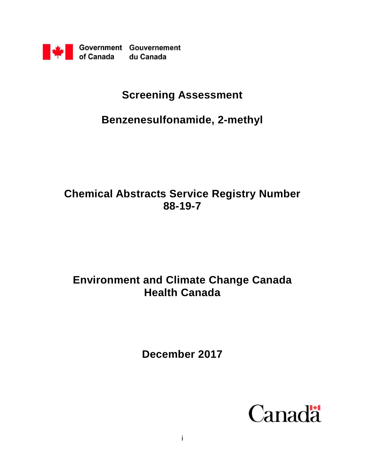

# **Screening Assessment**

# **Benzenesulfonamide, 2-methyl**

# **Chemical Abstracts Service Registry Number 88-19-7**

# **Environment and Climate Change Canada Health Canada**

**December 2017**

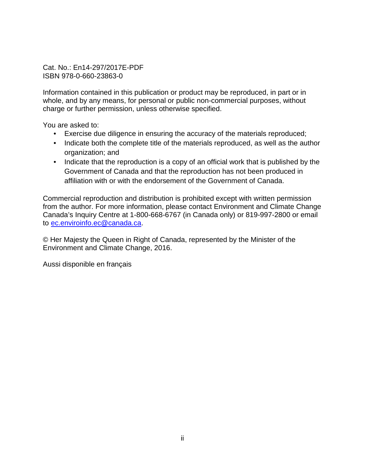Cat. No.: En14-297/2017E-PDF ISBN 978-0-660-23863-0

Information contained in this publication or product may be reproduced, in part or in whole, and by any means, for personal or public non-commercial purposes, without charge or further permission, unless otherwise specified.

You are asked to:

- Exercise due diligence in ensuring the accuracy of the materials reproduced;
- Indicate both the complete title of the materials reproduced, as well as the author organization; and
- Indicate that the reproduction is a copy of an official work that is published by the Government of Canada and that the reproduction has not been produced in affiliation with or with the endorsement of the Government of Canada.

Commercial reproduction and distribution is prohibited except with written permission from the author. For more information, please contact Environment and Climate Change Canada's Inquiry Centre at 1-800-668-6767 (in Canada only) or 819-997-2800 or email to [ec.enviroinfo.ec@canada.ca.](mailto:ec.enviroinfo.ec@canada.ca)

© Her Majesty the Queen in Right of Canada, represented by the Minister of the Environment and Climate Change, 2016.

Aussi disponible en français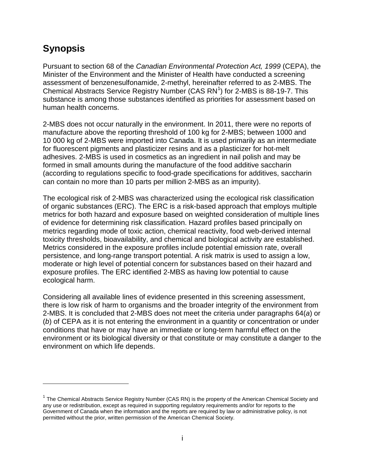## <span id="page-2-1"></span>**Synopsis**

 $\overline{a}$ 

Pursuant to section 68 of the *Canadian Environmental Protection Act, 1999* (CEPA), the Minister of the Environment and the Minister of Health have conducted a screening assessment of benzenesulfonamide, 2-methyl, hereinafter referred to as 2-MBS. The Chemical Abstracts Service Registry Number (CAS  $RN<sup>1</sup>$  $RN<sup>1</sup>$  $RN<sup>1</sup>$ ) for 2-MBS is 88-19-7. This substance is among those substances identified as priorities for assessment based on human health concerns.

2-MBS does not occur naturally in the environment. In 2011, there were no reports of manufacture above the reporting threshold of 100 kg for 2-MBS; between 1000 and 10 000 kg of 2-MBS were imported into Canada. It is used primarily as an intermediate for fluorescent pigments and plasticizer resins and as a plasticizer for hot-melt adhesives. 2-MBS is used in cosmetics as an ingredient in nail polish and may be formed in small amounts during the manufacture of the food additive saccharin (according to regulations specific to food-grade specifications for additives, saccharin can contain no more than 10 parts per million 2-MBS as an impurity).

The ecological risk of 2-MBS was characterized using the ecological risk classification of organic substances (ERC). The ERC is a risk-based approach that employs multiple metrics for both hazard and exposure based on weighted consideration of multiple lines of evidence for determining risk classification. Hazard profiles based principally on metrics regarding mode of toxic action, chemical reactivity, food web-derived internal toxicity thresholds, bioavailability, and chemical and biological activity are established. Metrics considered in the exposure profiles include potential emission rate, overall persistence, and long-range transport potential. A risk matrix is used to assign a low, moderate or high level of potential concern for substances based on their hazard and exposure profiles. The ERC identified 2-MBS as having low potential to cause ecological harm.

Considering all available lines of evidence presented in this screening assessment, there is low risk of harm to organisms and the broader integrity of the environment from 2-MBS. It is concluded that 2-MBS does not meet the criteria under paragraphs 64(*a*) or (*b*) of CEPA as it is not entering the environment in a quantity or concentration or under conditions that have or may have an immediate or long-term harmful effect on the environment or its biological diversity or that constitute or may constitute a danger to the environment on which life depends.

<span id="page-2-0"></span> $1$  The Chemical Abstracts Service Registry Number (CAS RN) is the property of the American Chemical Society and any use or redistribution, except as required in supporting regulatory requirements and/or for reports to the Government of Canada when the information and the reports are required by law or administrative policy, is not permitted without the prior, written permission of the American Chemical Society.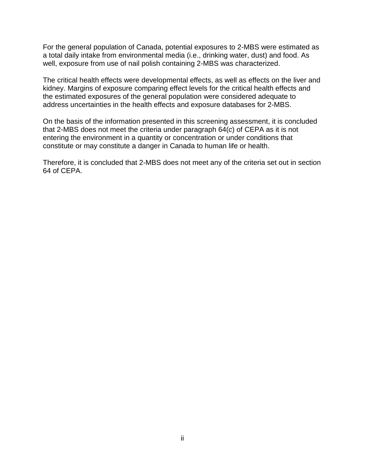For the general population of Canada, potential exposures to 2-MBS were estimated as a total daily intake from environmental media (i.e., drinking water, dust) and food. As well, exposure from use of nail polish containing 2-MBS was characterized.

The critical health effects were developmental effects, as well as effects on the liver and kidney. Margins of exposure comparing effect levels for the critical health effects and the estimated exposures of the general population were considered adequate to address uncertainties in the health effects and exposure databases for 2-MBS.

On the basis of the information presented in this screening assessment, it is concluded that 2-MBS does not meet the criteria under paragraph 64(*c*) of CEPA as it is not entering the environment in a quantity or concentration or under conditions that constitute or may constitute a danger in Canada to human life or health.

Therefore, it is concluded that 2-MBS does not meet any of the criteria set out in section 64 of CEPA.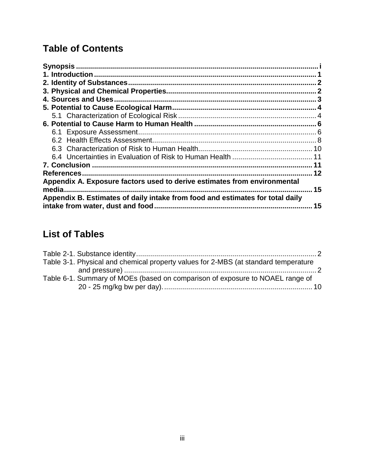# **Table of Contents**

| 4. Sources and Uses                                                                                                |    |
|--------------------------------------------------------------------------------------------------------------------|----|
|                                                                                                                    |    |
|                                                                                                                    |    |
|                                                                                                                    |    |
|                                                                                                                    |    |
|                                                                                                                    |    |
|                                                                                                                    |    |
|                                                                                                                    |    |
| <b>7. Conclusion</b>                                                                                               |    |
| References.                                                                                                        |    |
| Appendix A. Exposure factors used to derive estimates from environmental<br>media.                                 | 15 |
| Appendix B. Estimates of daily intake from food and estimates for total daily<br>intake from water, dust and food. | 15 |

# **List of Tables**

| Table 3-1. Physical and chemical property values for 2-MBS (at standard temperature |  |
|-------------------------------------------------------------------------------------|--|
|                                                                                     |  |
| Table 6-1. Summary of MOEs (based on comparison of exposure to NOAEL range of       |  |
|                                                                                     |  |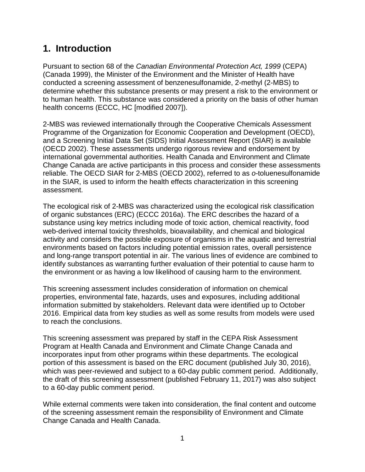## <span id="page-5-0"></span>**1. Introduction**

Pursuant to section 68 of the *Canadian Environmental Protection Act, 1999* (CEPA) (Canada 1999), the Minister of the Environment and the Minister of Health have conducted a screening assessment of benzenesulfonamide, 2-methyl (2-MBS) to determine whether this substance presents or may present a risk to the environment or to human health. This substance was considered a priority on the basis of other human health concerns (ECCC, HC [modified 2007]).

2-MBS was reviewed internationally through the Cooperative Chemicals Assessment Programme of the Organization for Economic Cooperation and Development (OECD), and a Screening Initial Data Set (SIDS) Initial Assessment Report (SIAR) is available (OECD 2002). These assessments undergo rigorous review and endorsement by international governmental authorities. Health Canada and Environment and Climate Change Canada are active participants in this process and consider these assessments reliable. The OECD SIAR for 2-MBS (OECD 2002), referred to as *o*-toluenesulfonamide in the SIAR, is used to inform the health effects characterization in this screening assessment.

The ecological risk of 2-MBS was characterized using the ecological risk classification of organic substances (ERC) (ECCC 2016a). The ERC describes the hazard of a substance using key metrics including mode of toxic action, chemical reactivity, food web-derived internal toxicity thresholds, bioavailability, and chemical and biological activity and considers the possible exposure of organisms in the aquatic and terrestrial environments based on factors including potential emission rates, overall persistence and long-range transport potential in air. The various lines of evidence are combined to identify substances as warranting further evaluation of their potential to cause harm to the environment or as having a low likelihood of causing harm to the environment.

This screening assessment includes consideration of information on chemical properties, environmental fate, hazards, uses and exposures, including additional information submitted by stakeholders. Relevant data were identified up to October 2016. Empirical data from key studies as well as some results from models were used to reach the conclusions.

This screening assessment was prepared by staff in the CEPA Risk Assessment Program at Health Canada and Environment and Climate Change Canada and incorporates input from other programs within these departments. The ecological portion of this assessment is based on the ERC document (published July 30, 2016), which was peer-reviewed and subject to a 60-day public comment period. Additionally, the draft of this screening assessment (published February 11, 2017) was also subject to a 60-day public comment period.

While external comments were taken into consideration, the final content and outcome of the screening assessment remain the responsibility of Environment and Climate Change Canada and Health Canada.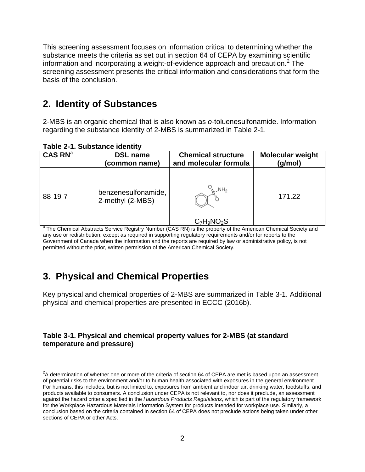This screening assessment focuses on information critical to determining whether the substance meets the criteria as set out in section 64 of CEPA by examining scientific information and incorporating a weight-of-evidence approach and precaution. [2](#page-6-4) The screening assessment presents the critical information and considerations that form the basis of the conclusion.

#### <span id="page-6-0"></span>**2. Identity of Substances**

2-MBS is an organic chemical that is also known as *o*-toluenesulfonamide. Information regarding the substance identity of 2-MBS is summarized in Table 2-1.

| Table 2-1. Substance Identity<br>CAS RN <sup>a</sup> | <b>DSL name</b>                                          | <b>Chemical structure</b>                          | <b>Molecular weight</b> |  |  |
|------------------------------------------------------|----------------------------------------------------------|----------------------------------------------------|-------------------------|--|--|
| 88-19-7                                              | (common name)<br>benzenesulfonamide,<br>2-methyl (2-MBS) | and molecular formula<br>$N_{\rm B}$ $N_{\rm H_2}$ | (g/mol)<br>171.22       |  |  |
|                                                      |                                                          | $C_7H_9NO_2S$                                      |                         |  |  |

<span id="page-6-2"></span>**Table 2-1. Substance identity**

 $\overline{a}$ 

<sup>a</sup> The Chemical Abstracts Service Registry Number (CAS RN) is the property of the American Chemical Society and any use or redistribution, except as required in supporting regulatory requirements and/or for reports to the Government of Canada when the information and the reports are required by law or administrative policy, is not permitted without the prior, written permission of the American Chemical Society.

## <span id="page-6-1"></span>**3. Physical and Chemical Properties**

Key physical and chemical properties of 2-MBS are summarized in Table 3-1. Additional physical and chemical properties are presented in ECCC (2016b).

#### <span id="page-6-3"></span>**Table 3-1. Physical and chemical property values for 2-MBS (at standard temperature and pressure)**

<span id="page-6-4"></span> $2$ A determination of whether one or more of the criteria of section 64 of CEPA are met is based upon an assessment of potential risks to the environment and/or to human health associated with exposures in the general environment. For humans, this includes, but is not limited to, exposures from ambient and indoor air, drinking water, foodstuffs, and products available to consumers. A conclusion under CEPA is not relevant to, nor does it preclude, an assessment against the hazard criteria specified in the *Hazardous Products Regulations*, which is part of the regulatory framework for the Workplace Hazardous Materials Information System for products intended for workplace use. Similarly, a conclusion based on the criteria contained in section 64 of CEPA does not preclude actions being taken under other sections of CEPA or other Acts.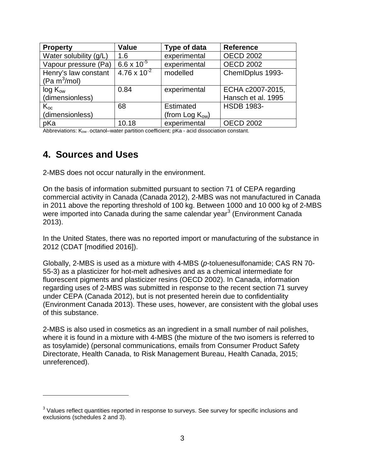| <b>Property</b>        | <b>Value</b>          | Type of data         | <b>Reference</b>   |
|------------------------|-----------------------|----------------------|--------------------|
| Water solubility (g/L) | 1.6                   | experimental         | <b>OECD 2002</b>   |
| Vapour pressure (Pa)   | $6.6 \times 10^{-5}$  | experimental         | <b>OECD 2002</b>   |
| Henry's law constant   | $4.76 \times 10^{-2}$ | modelled             | ChemIDplus 1993-   |
| (Pa $m^3$ /mol)        |                       |                      |                    |
| $log K_{ow}$           | 0.84                  | experimental         | ECHA c2007-2015,   |
| (dimensionless)        |                       |                      | Hansch et al. 1995 |
| $K_{oc}$               | 68                    | <b>Estimated</b>     | <b>HSDB 1983-</b>  |
| (dimensionless)        |                       | (from Log $K_{ow}$ ) |                    |
| pKa                    | 10.18                 | experimental         | <b>OECD 2002</b>   |

Abbreviations:  $K_{ow}$  octanol–water partition coefficient; pKa - acid dissociation constant.

### <span id="page-7-0"></span>**4. Sources and Uses**

 $\overline{a}$ 

2-MBS does not occur naturally in the environment.

On the basis of information submitted pursuant to section 71 of CEPA regarding commercial activity in Canada (Canada 2012), 2-MBS was not manufactured in Canada in 2011 above the reporting threshold of 100 kg. Between 1000 and 10 000 kg of 2-MBS were imported into Canada during the same calendar year<sup>[3](#page-7-1)</sup> (Environment Canada 2013).

In the United States, there was no reported import or manufacturing of the substance in 2012 (CDAT [modified 2016]).

Globally, 2-MBS is used as a mixture with 4-MBS (*p*-toluenesulfonamide; CAS RN 70- 55-3) as a plasticizer for hot-melt adhesives and as a chemical intermediate for fluorescent pigments and plasticizer resins (OECD 2002). In Canada, information regarding uses of 2-MBS was submitted in response to the recent section 71 survey under CEPA (Canada 2012), but is not presented herein due to confidentiality (Environment Canada 2013). These uses, however, are consistent with the global uses of this substance.

2-MBS is also used in cosmetics as an ingredient in a small number of nail polishes, where it is found in a mixture with 4-MBS (the mixture of the two isomers is referred to as tosylamide) (personal communications, emails from Consumer Product Safety Directorate, Health Canada, to Risk Management Bureau, Health Canada, 2015; unreferenced).

<span id="page-7-1"></span><sup>&</sup>lt;sup>3</sup> Values reflect quantities reported in response to surveys. See survey for specific inclusions and exclusions (schedules 2 and 3).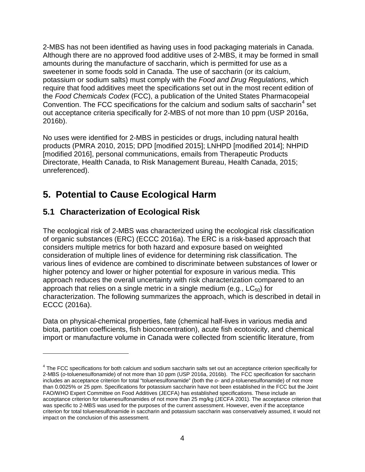2-MBS has not been identified as having uses in food packaging materials in Canada. Although there are no approved food additive uses of 2-MBS, it may be formed in small amounts during the manufacture of saccharin, which is permitted for use as a sweetener in some foods sold in Canada. The use of saccharin (or its calcium, potassium or sodium salts) must comply with the *Food and Drug Regulations*, which require that food additives meet the specifications set out in the most recent edition of the *Food Chemicals Codex* (FCC), a publication of the United States Pharmacopeial Convention. The FCC specifications for the calcium and sodium salts of saccharin<sup>[4](#page-8-2)</sup> set out acceptance criteria specifically for 2-MBS of not more than 10 ppm (USP 2016a, 2016b).

No uses were identified for 2-MBS in pesticides or drugs, including natural health products (PMRA 2010, 2015; DPD [modified 2015]; LNHPD [modified 2014]; NHPID [modified 2016], personal communications, emails from Therapeutic Products Directorate, Health Canada, to Risk Management Bureau, Health Canada, 2015; unreferenced).

# <span id="page-8-0"></span>**5. Potential to Cause Ecological Harm**

### <span id="page-8-1"></span>**5.1 Characterization of Ecological Risk**

 $\overline{a}$ 

The ecological risk of 2-MBS was characterized using the ecological risk classification of organic substances (ERC) (ECCC 2016a). The ERC is a risk-based approach that considers multiple metrics for both hazard and exposure based on weighted consideration of multiple lines of evidence for determining risk classification. The various lines of evidence are combined to discriminate between substances of lower or higher potency and lower or higher potential for exposure in various media. This approach reduces the overall uncertainty with risk characterization compared to an approach that relies on a single metric in a single medium (e.g.,  $LC_{50}$ ) for characterization. The following summarizes the approach, which is described in detail in ECCC (2016a).

Data on physical-chemical properties, fate (chemical half-lives in various media and biota, partition coefficients, fish bioconcentration), acute fish ecotoxicity, and chemical import or manufacture volume in Canada were collected from scientific literature, from

<span id="page-8-2"></span><sup>&</sup>lt;sup>4</sup> The FCC specifications for both calcium and sodium saccharin salts set out an acceptance criterion specifically for 2-MBS (*o*-toluenesulfonamide) of not more than 10 ppm (USP 2016a, 2016b). The FCC specification for saccharin includes an acceptance criterion for total "toluenesulfonamide" (both the *o*- and *p*-toluenesulfonamide) of not more than 0.0025% or 25 ppm. Specifications for potassium saccharin have not been established in the FCC but the Joint FAO/WHO Expert Committee on Food Additives (JECFA) has established specifications. These include an acceptance criterion for toluenesulfonamides of not more than 25 mg/kg (JECFA 2001). The acceptance criterion that was specific to 2-MBS was used for the purposes of the current assessment. However, even if the acceptance criterion for total toluenesulfonamide in saccharin and potassium saccharin was conservatively assumed, it would not impact on the conclusion of this assessment.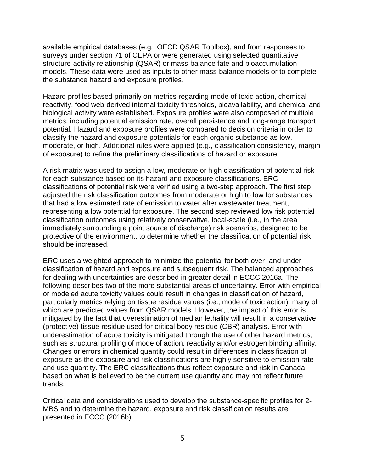available empirical databases (e.g., OECD QSAR Toolbox), and from responses to surveys under section 71 of CEPA or were generated using selected quantitative structure-activity relationship (QSAR) or mass-balance fate and bioaccumulation models. These data were used as inputs to other mass-balance models or to complete the substance hazard and exposure profiles.

Hazard profiles based primarily on metrics regarding mode of toxic action, chemical reactivity, food web-derived internal toxicity thresholds, bioavailability, and chemical and biological activity were established. Exposure profiles were also composed of multiple metrics, including potential emission rate, overall persistence and long-range transport potential. Hazard and exposure profiles were compared to decision criteria in order to classify the hazard and exposure potentials for each organic substance as low, moderate, or high. Additional rules were applied (e.g., classification consistency, margin of exposure) to refine the preliminary classifications of hazard or exposure.

A risk matrix was used to assign a low, moderate or high classification of potential risk for each substance based on its hazard and exposure classifications. ERC classifications of potential risk were verified using a two-step approach. The first step adjusted the risk classification outcomes from moderate or high to low for substances that had a low estimated rate of emission to water after wastewater treatment, representing a low potential for exposure. The second step reviewed low risk potential classification outcomes using relatively conservative, local-scale (i.e., in the area immediately surrounding a point source of discharge) risk scenarios, designed to be protective of the environment, to determine whether the classification of potential risk should be increased.

ERC uses a weighted approach to minimize the potential for both over- and underclassification of hazard and exposure and subsequent risk. The balanced approaches for dealing with uncertainties are described in greater detail in ECCC 2016a. The following describes two of the more substantial areas of uncertainty. Error with empirical or modeled acute toxicity values could result in changes in classification of hazard, particularly metrics relying on tissue residue values (i.e., mode of toxic action), many of which are predicted values from QSAR models. However, the impact of this error is mitigated by the fact that overestimation of median lethality will result in a conservative (protective) tissue residue used for critical body residue (CBR) analysis. Error with underestimation of acute toxicity is mitigated through the use of other hazard metrics, such as structural profiling of mode of action, reactivity and/or estrogen binding affinity. Changes or errors in chemical quantity could result in differences in classification of exposure as the exposure and risk classifications are highly sensitive to emission rate and use quantity. The ERC classifications thus reflect exposure and risk in Canada based on what is believed to be the current use quantity and may not reflect future trends.

Critical data and considerations used to develop the substance-specific profiles for 2- MBS and to determine the hazard, exposure and risk classification results are presented in ECCC (2016b).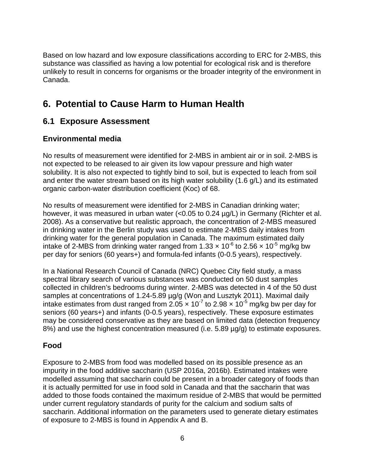Based on low hazard and low exposure classifications according to ERC for 2-MBS, this substance was classified as having a low potential for ecological risk and is therefore unlikely to result in concerns for organisms or the broader integrity of the environment in Canada.

## <span id="page-10-0"></span>**6. Potential to Cause Harm to Human Health**

#### <span id="page-10-1"></span>**6.1 Exposure Assessment**

#### **Environmental media**

No results of measurement were identified for 2-MBS in ambient air or in soil. 2-MBS is not expected to be released to air given its low vapour pressure and high water solubility. It is also not expected to tightly bind to soil, but is expected to leach from soil and enter the water stream based on its high water solubility (1.6 g/L) and its estimated organic carbon-water distribution coefficient (Koc) of 68.

No results of measurement were identified for 2-MBS in Canadian drinking water; however, it was measured in urban water (<0.05 to 0.24  $\mu q/L$ ) in Germany (Richter et al. 2008). As a conservative but realistic approach, the concentration of 2-MBS measured in drinking water in the Berlin study was used to estimate 2-MBS daily intakes from drinking water for the general population in Canada. The maximum estimated daily intake of 2-MBS from drinking water ranged from 1.33  $\times$  10<sup>-6</sup> to 2.56  $\times$  10<sup>-5</sup> mg/kg bw per day for seniors (60 years+) and formula-fed infants (0-0.5 years), respectively.

In a National Research Council of Canada (NRC) Quebec City field study, a mass spectral library search of various substances was conducted on 50 dust samples collected in children's bedrooms during winter. 2-MBS was detected in 4 of the 50 dust samples at concentrations of 1.24-5.89 µg/g (Won and Lusztyk 2011). Maximal daily intake estimates from dust ranged from  $2.05 \times 10^{-7}$  to 2.98  $\times 10^{-5}$  mg/kg bw per day for seniors (60 years+) and infants (0-0.5 years), respectively. These exposure estimates may be considered conservative as they are based on limited data (detection frequency 8%) and use the highest concentration measured (i.e. 5.89  $\mu$ g/g) to estimate exposures.

#### **Food**

Exposure to 2-MBS from food was modelled based on its possible presence as an impurity in the food additive saccharin (USP 2016a, 2016b). Estimated intakes were modelled assuming that saccharin could be present in a broader category of foods than it is actually permitted for use in food sold in Canada and that the saccharin that was added to those foods contained the maximum residue of 2-MBS that would be permitted under current regulatory standards of purity for the calcium and sodium salts of saccharin. Additional information on the parameters used to generate dietary estimates of exposure to 2-MBS is found in Appendix A and B.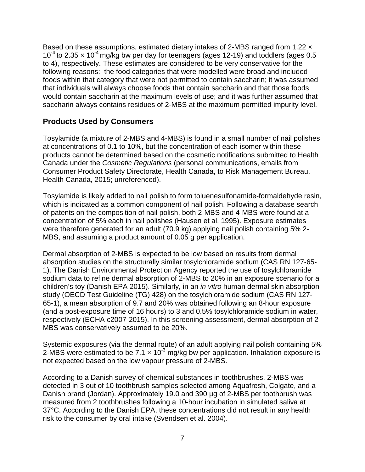Based on these assumptions, estimated dietary intakes of 2-MBS ranged from 1.22  $\times$  $10^{-4}$  to 2.35  $\times$  10<sup>-4</sup> mg/kg bw per day for teenagers (ages 12-19) and toddlers (ages 0.5 to 4), respectively. These estimates are considered to be very conservative for the following reasons: the food categories that were modelled were broad and included foods within that category that were not permitted to contain saccharin; it was assumed that individuals will always choose foods that contain saccharin and that those foods would contain saccharin at the maximum levels of use; and it was further assumed that saccharin always contains residues of 2-MBS at the maximum permitted impurity level.

#### **Products Used by Consumers**

Tosylamide (a mixture of 2-MBS and 4-MBS) is found in a small number of nail polishes at concentrations of 0.1 to 10%, but the concentration of each isomer within these products cannot be determined based on the cosmetic notifications submitted to Health Canada under the *Cosmetic Regulations* (personal communications, emails from Consumer Product Safety Directorate, Health Canada, to Risk Management Bureau, Health Canada, 2015; unreferenced).

Tosylamide is likely added to nail polish to form toluenesulfonamide-formaldehyde resin, which is indicated as a common component of nail polish. Following a database search of patents on the composition of nail polish, both 2-MBS and 4-MBS were found at a concentration of 5% each in nail polishes (Hausen et al. 1995). Exposure estimates were therefore generated for an adult (70.9 kg) applying nail polish containing 5% 2- MBS, and assuming a product amount of 0.05 g per application.

Dermal absorption of 2-MBS is expected to be low based on results from dermal absorption studies on the structurally similar tosylchloramide sodium (CAS RN 127-65- 1). The Danish Environmental Protection Agency reported the use of tosylchloramide sodium data to refine dermal absorption of 2-MBS to 20% in an exposure scenario for a children's toy (Danish EPA 2015). Similarly, in an *in vitro* human dermal skin absorption study (OECD Test Guideline (TG) 428) on the tosylchloramide sodium (CAS RN 127- 65-1), a mean absorption of 9.7 and 20% was obtained following an 8-hour exposure (and a post-exposure time of 16 hours) to 3 and 0.5% tosylchloramide sodium in water, respectively (ECHA c2007-2015). In this screening assessment, dermal absorption of 2- MBS was conservatively assumed to be 20%.

Systemic exposures (via the dermal route) of an adult applying nail polish containing 5% 2-MBS were estimated to be 7.1  $\times$  10<sup>-3</sup> mg/kg bw per application. Inhalation exposure is not expected based on the low vapour pressure of 2-MBS.

According to a Danish survey of chemical substances in toothbrushes, 2-MBS was detected in 3 out of 10 toothbrush samples selected among Aquafresh, Colgate, and a Danish brand (Jordan). Approximately 19.0 and 390 µg of 2-MBS per toothbrush was measured from 2 toothbrushes following a 10-hour incubation in simulated saliva at 37°C. According to the Danish EPA, these concentrations did not result in any health risk to the consumer by oral intake (Svendsen et al. 2004).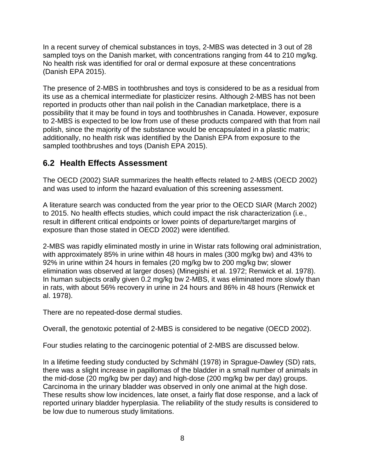In a recent survey of chemical substances in toys, 2-MBS was detected in 3 out of 28 sampled toys on the Danish market, with concentrations ranging from 44 to 210 mg/kg. No health risk was identified for oral or dermal exposure at these concentrations (Danish EPA 2015).

The presence of 2-MBS in toothbrushes and toys is considered to be as a residual from its use as a chemical intermediate for plasticizer resins. Although 2-MBS has not been reported in products other than nail polish in the Canadian marketplace, there is a possibility that it may be found in toys and toothbrushes in Canada. However, exposure to 2-MBS is expected to be low from use of these products compared with that from nail polish, since the majority of the substance would be encapsulated in a plastic matrix; additionally, no health risk was identified by the Danish EPA from exposure to the sampled toothbrushes and toys (Danish EPA 2015).

#### <span id="page-12-0"></span>**6.2 Health Effects Assessment**

The OECD (2002) SIAR summarizes the health effects related to 2-MBS (OECD 2002) and was used to inform the hazard evaluation of this screening assessment.

A literature search was conducted from the year prior to the OECD SIAR (March 2002) to 2015. No health effects studies, which could impact the risk characterization (i.e., result in different critical endpoints or lower points of departure/target margins of exposure than those stated in OECD 2002) were identified.

2-MBS was rapidly eliminated mostly in urine in Wistar rats following oral administration, with approximately 85% in urine within 48 hours in males (300 mg/kg bw) and 43% to 92% in urine within 24 hours in females (20 mg/kg bw to 200 mg/kg bw; slower elimination was observed at larger doses) (Minegishi et al. 1972; Renwick et al. 1978). In human subjects orally given 0.2 mg/kg bw 2-MBS, it was eliminated more slowly than in rats, with about 56% recovery in urine in 24 hours and 86% in 48 hours (Renwick et al. 1978).

There are no repeated-dose dermal studies.

Overall, the genotoxic potential of 2-MBS is considered to be negative (OECD 2002).

Four studies relating to the carcinogenic potential of 2-MBS are discussed below.

In a lifetime feeding study conducted by Schmähl (1978) in Sprague-Dawley (SD) rats, there was a slight increase in papillomas of the bladder in a small number of animals in the mid-dose (20 mg/kg bw per day) and high-dose (200 mg/kg bw per day) groups. Carcinoma in the urinary bladder was observed in only one animal at the high dose. These results show low incidences, late onset, a fairly flat dose response, and a lack of reported urinary bladder hyperplasia. The reliability of the study results is considered to be low due to numerous study limitations.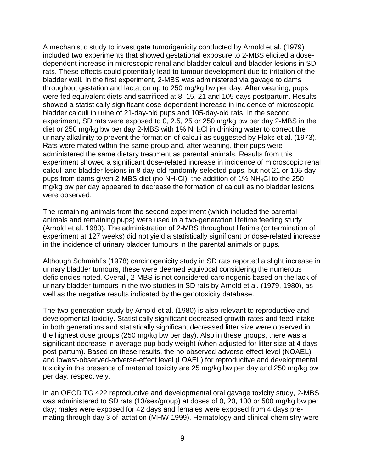A mechanistic study to investigate tumorigenicity conducted by Arnold et al. (1979) included two experiments that showed gestational exposure to 2-MBS elicited a dosedependent increase in microscopic renal and bladder calculi and bladder lesions in SD rats. These effects could potentially lead to tumour development due to irritation of the bladder wall. In the first experiment, 2-MBS was administered via gavage to dams throughout gestation and lactation up to 250 mg/kg bw per day. After weaning, pups were fed equivalent diets and sacrificed at 8, 15, 21 and 105 days postpartum. Results showed a statistically significant dose-dependent increase in incidence of microscopic bladder calculi in urine of 21-day-old pups and 105-day-old rats. In the second experiment, SD rats were exposed to 0, 2.5, 25 or 250 mg/kg bw per day 2-MBS in the diet or 250 mg/kg bw per day 2-MBS with 1% NH4Cl in drinking water to correct the urinary alkalinity to prevent the formation of calculi as suggested by Flaks et al. (1973). Rats were mated within the same group and, after weaning, their pups were administered the same dietary treatment as parental animals. Results from this experiment showed a significant dose-related increase in incidence of microscopic renal calculi and bladder lesions in 8-day-old randomly-selected pups, but not 21 or 105 day pups from dams given 2-MBS diet (no  $NH_4Cl$ ); the addition of 1%  $NH_4Cl$  to the 250 mg/kg bw per day appeared to decrease the formation of calculi as no bladder lesions were observed.

The remaining animals from the second experiment (which included the parental animals and remaining pups) were used in a two-generation lifetime feeding study (Arnold et al. 1980). The administration of 2-MBS throughout lifetime (or termination of experiment at 127 weeks) did not yield a statistically significant or dose-related increase in the incidence of urinary bladder tumours in the parental animals or pups.

Although Schmähl's (1978) carcinogenicity study in SD rats reported a slight increase in urinary bladder tumours, these were deemed equivocal considering the numerous deficiencies noted. Overall, 2-MBS is not considered carcinogenic based on the lack of urinary bladder tumours in the two studies in SD rats by Arnold et al. (1979, 1980), as well as the negative results indicated by the genotoxicity database.

The two-generation study by Arnold et al. (1980) is also relevant to reproductive and developmental toxicity. Statistically significant decreased growth rates and feed intake in both generations and statistically significant decreased litter size were observed in the highest dose groups (250 mg/kg bw per day). Also in these groups, there was a significant decrease in average pup body weight (when adjusted for litter size at 4 days post-partum). Based on these results, the no-observed-adverse-effect level (NOAEL) and lowest-observed-adverse-effect level (LOAEL) for reproductive and developmental toxicity in the presence of maternal toxicity are 25 mg/kg bw per day and 250 mg/kg bw per day, respectively.

In an OECD TG 422 reproductive and developmental oral gavage toxicity study, 2-MBS was administered to SD rats (13/sex/group) at doses of 0, 20, 100 or 500 mg/kg bw per day; males were exposed for 42 days and females were exposed from 4 days premating through day 3 of lactation (MHW 1999). Hematology and clinical chemistry were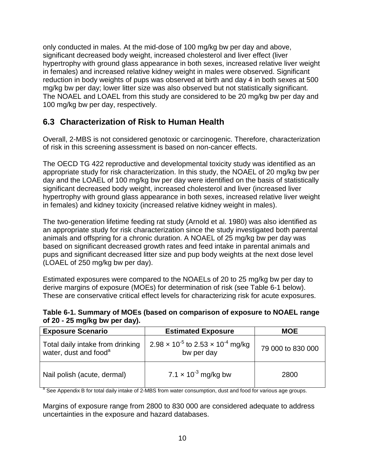only conducted in males. At the mid-dose of 100 mg/kg bw per day and above, significant decreased body weight, increased cholesterol and liver effect (liver hypertrophy with ground glass appearance in both sexes, increased relative liver weight in females) and increased relative kidney weight in males were observed. Significant reduction in body weights of pups was observed at birth and day 4 in both sexes at 500 mg/kg bw per day; lower litter size was also observed but not statistically significant. The NOAEL and LOAEL from this study are considered to be 20 mg/kg bw per day and 100 mg/kg bw per day, respectively.

#### <span id="page-14-0"></span>**6.3 Characterization of Risk to Human Health**

Overall, 2-MBS is not considered genotoxic or carcinogenic. Therefore, characterization of risk in this screening assessment is based on non-cancer effects.

The OECD TG 422 reproductive and developmental toxicity study was identified as an appropriate study for risk characterization. In this study, the NOAEL of 20 mg/kg bw per day and the LOAEL of 100 mg/kg bw per day were identified on the basis of statistically significant decreased body weight, increased cholesterol and liver (increased liver hypertrophy with ground glass appearance in both sexes, increased relative liver weight in females) and kidney toxicity (increased relative kidney weight in males).

The two-generation lifetime feeding rat study (Arnold et al. 1980) was also identified as an appropriate study for risk characterization since the study investigated both parental animals and offspring for a chronic duration. A NOAEL of 25 mg/kg bw per day was based on significant decreased growth rates and feed intake in parental animals and pups and significant decreased litter size and pup body weights at the next dose level (LOAEL of 250 mg/kg bw per day).

Estimated exposures were compared to the NOAELs of 20 to 25 mg/kg bw per day to derive margins of exposure (MOEs) for determination of risk (see Table 6-1 below). These are conservative critical effect levels for characterizing risk for acute exposures.

<span id="page-14-1"></span>

| Table 6-1. Summary of MOEs (based on comparison of exposure to NOAEL range |  |
|----------------------------------------------------------------------------|--|
| of $20 - 25$ mg/kg bw per day).                                            |  |

| <b>Exposure Scenario</b>                                              | <b>Estimated Exposure</b>                                          | <b>MOE</b>        |  |
|-----------------------------------------------------------------------|--------------------------------------------------------------------|-------------------|--|
| Total daily intake from drinking<br>water, dust and food <sup>a</sup> | $2.98 \times 10^{-5}$ to $2.53 \times 10^{-4}$ mg/kg<br>bw per day | 79 000 to 830 000 |  |
| Nail polish (acute, dermal)                                           | 7.1 $\times$ 10 <sup>-3</sup> mg/kg bw                             | 2800              |  |

<sup>a</sup> See Appendix B for total daily intake of 2-MBS from water consumption, dust and food for various age groups.

Margins of exposure range from 2800 to 830 000 are considered adequate to address uncertainties in the exposure and hazard databases.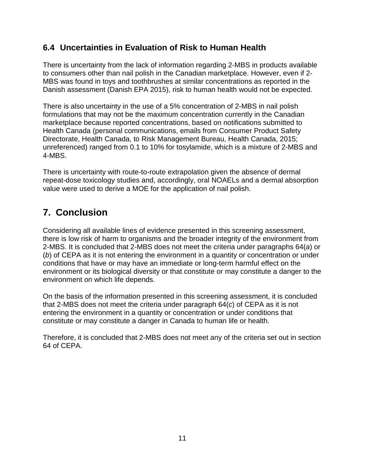#### <span id="page-15-0"></span>**6.4 Uncertainties in Evaluation of Risk to Human Health**

There is uncertainty from the lack of information regarding 2-MBS in products available to consumers other than nail polish in the Canadian marketplace. However, even if 2- MBS was found in toys and toothbrushes at similar concentrations as reported in the Danish assessment (Danish EPA 2015), risk to human health would not be expected.

There is also uncertainty in the use of a 5% concentration of 2-MBS in nail polish formulations that may not be the maximum concentration currently in the Canadian marketplace because reported concentrations, based on notifications submitted to Health Canada (personal communications, emails from Consumer Product Safety Directorate, Health Canada, to Risk Management Bureau, Health Canada, 2015; unreferenced) ranged from 0.1 to 10% for tosylamide, which is a mixture of 2-MBS and 4-MBS.

There is uncertainty with route-to-route extrapolation given the absence of dermal repeat-dose toxicology studies and, accordingly, oral NOAELs and a dermal absorption value were used to derive a MOE for the application of nail polish.

# <span id="page-15-1"></span>**7. Conclusion**

Considering all available lines of evidence presented in this screening assessment, there is low risk of harm to organisms and the broader integrity of the environment from 2-MBS. It is concluded that 2-MBS does not meet the criteria under paragraphs 64(*a*) or (*b*) of CEPA as it is not entering the environment in a quantity or concentration or under conditions that have or may have an immediate or long-term harmful effect on the environment or its biological diversity or that constitute or may constitute a danger to the environment on which life depends.

On the basis of the information presented in this screening assessment, it is concluded that 2-MBS does not meet the criteria under paragraph 64(*c*) of CEPA as it is not entering the environment in a quantity or concentration or under conditions that constitute or may constitute a danger in Canada to human life or health.

Therefore, it is concluded that 2-MBS does not meet any of the criteria set out in section 64 of CEPA.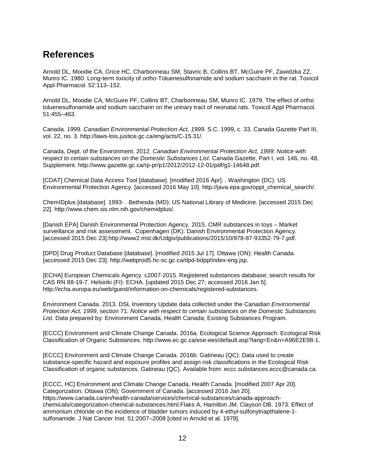### <span id="page-16-0"></span>**References**

Arnold DL, Moodie CA, Grice HC, Charbonneau SM, Stavric B, Collins BT, McGuire PF, Zawidzka ZZ, Munro IC. 1980. Long-term toxicity of *ortho*-Toluenesulfonamide and sodium saccharin in the rat. Toxicol Appl Pharmacol. 52:113–152.

Arnold DL, Moodie CA, McGuire PF, Collins BT, Charbonneau SM, Munro IC. 1979. The effect of ortho toluenesulfonamide and sodium saccharin on the urinary tract of neonatal rats. Toxicol Appl Pharmacol. 51:455–463.

Canada. 1999. *Canadian Environmental Protection Act, 1999*. S.C. 1999, c. 33. Canada Gazette Part III, vol. 22, no. 3. http://laws-lois.justice.gc.ca/eng/acts/C-15.31/.

Canada, Dept. of the Environment. 2012. *Canadian Environmental Protection Act, 1999: Notice with respect to certain substances on the Domestic Substances List*. Canada Gazette, Part I, vol. 146, no. 48, Supplement. http://www.gazette.gc.ca/rp-pr/p1/2012/2012-12-01/pdf/g1-14648.pdf.

[CDAT] Chemical Data Access Tool [database]. [modified 2016 Apr]. . Washington (DC): US Environmental Protection Agency. [accessed 2016 May 10]. http://java.epa.gov/oppt\_chemical\_search/.

ChemIDplus [database]. 1993- . Bethesda (MD): US National Library of Medicine. [accessed 2015 Dec 22]. http://www.chem.sis.nlm.nih.gov/chemidplus/.

[Danish EPA] Danish Environmental Protection Agency. 2015. CMR substances in toys – Market surveillance and risk assessment. Copenhagen (DK): Danish Environmental Protection Agency. [accessed 2015 Dec 23].http://www2.mst.dk/Udgiv/publications/2015/10/978-87-93352-79-7.pdf.

[DPD] Drug Product Database [database]. [modified 2015 Jul 17]. Ottawa (ON): Health Canada. [accessed 2015 Dec 23]. http://webprod5.hc-sc.gc.ca/dpd-bdpp/index-eng.jsp.

[ECHA] European Chemicals Agency. c2007-2015. Registered substances database; search results for CAS RN 88-19-7. Helsinki (FI): ECHA. [updated 2015 Dec 27; accessed 2016 Jan 5]. http://echa.europa.eu/web/guest/information-on-chemicals/registered-substances.

Environment Canada. 2013. DSL Inventory Update data collected under the *Canadian Environmental Protection Act, 1999*, section 71: *Notice with respect to certain substances on the Domestic Substances List.* Data prepared by: Environment Canada, Health Canada; Existing Substances Program.

[ECCC] Environment and Climate Change Canada. 2016a. Ecological Science Approach: Ecological Risk Classification of Organic Substances. [http://www.ec.gc.ca/ese-ees/default.asp?lang=En&n=A96E2E98-1.](http://www.ec.gc.ca/ese-ees/default.asp?lang=En&n=A96E2E98-1)

[ECCC] Environment and Climate Change Canada. 2016b. Gatineau (QC): Data used to create substance-specific hazard and exposure profiles and assign risk classifications in the Ecological Risk Classification of organic substances. Gatineau (QC). Available from: eccc.substances.eccc@canada.ca.

[ECCC, HC] Environment and Climate Change Canada, Health Canada. [modified 2007 Apr 20]. Categorization. Ottawa (ON): Government of Canada. [accessed 2016 Jan 20]. https://www.canada.ca/en/health-canada/services/chemical-substances/canada-approachchemicals/categorization-chemical-substances.html.Flaks A, Hamilton JM, Clayson DB. 1973. Effect of ammonium chloride on the incidence of bladder tumors induced by 4-ethyl-sulfonylnapthalene-1 sulfonamide. J Nat Cancer Inst. 51:2007–2008 [cited in Arnold et al. 1979].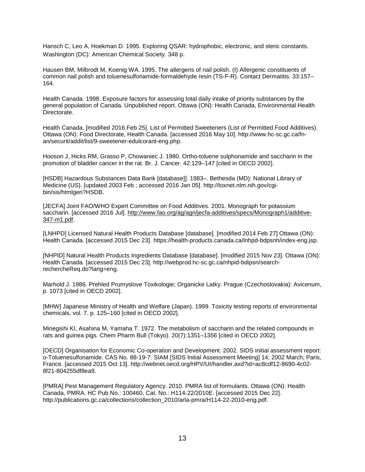Hansch C, Leo A, Hoekman D. 1995. Exploring QSAR: hydrophobic, electronic, and steric constants. Washington (DC): American Chemical Society. 348 p.

Hausen BM, Milbrodt M, Koenig WA. 1995. The allergens of nail polish. (I) Allergenic constituents of common nail polish and toluenesulfonamide-formaldehyde resin (TS-F-R). Contact Dermatitis. 33:157– 164.

Health Canada. 1998. Exposure factors for assessing total daily intake of priority substances by the general population of Canada. Unpublished report. Ottawa (ON): Health Canada, Environmental Health Directorate.

Health Canada. [modified 2016 Feb 25]. List of Permitted Sweeteners (List of Permitted Food Additives). Ottawa (ON): Food Directorate, Health Canada. [accessed 2016 May 10]. http://www.hc-sc.gc.ca/fnan/securit/addit/list/9-sweetener-edulcorant-eng.php.

Hooson J, Hicks RM, Grasso P, Chowaniec J. 1980. Ortho-toluene sulphonamide and saccharin in the promotion of bladder cancer in the rat. Br. J. Cancer. 42:129–147 [cited in OECD 2002].

[HSDB] Hazardous Substances Data Bank [database]]. 1983–. Bethesda (MD): National Library of Medicine (US). [updated 2003 Feb ; accessed 2016 Jan 05]. http://toxnet.nlm.nih.gov/cgibin/sis/htmlgen?HSDB.

[JECFA] Joint FAO/WHO Expert Committee on Food Additives. 2001. Monograph for potassium saccharin. [accessed 2016 Jul]. [http://www.fao.org/ag/agn/jecfa-additives/specs/Monograph1/additive-](http://www.fao.org/ag/agn/jecfa-additives/specs/Monograph1/additive-347-m1.pdf)[347-m1.pdf.](http://www.fao.org/ag/agn/jecfa-additives/specs/Monograph1/additive-347-m1.pdf)

[LNHPD] Licensed Natural Health Products Database [database]. [modified 2014 Feb 27] Ottawa (ON): Health Canada. [accessed 2015 Dec 23]. https://health-products.canada.ca/lnhpd-bdpsnh/index-eng.jsp.

[NHPID] Natural Health Products Ingredients Database [database]. [modified 2015 Nov 23]. Ottawa (ON): Health Canada. [accessed 2015 Dec 23]. http://webprod.hc-sc.gc.ca/nhpid-bdipsn/searchrechercheReq.do?lang=eng.

Marhold J. 1986. Prehled Prumyslove Toxikologie; Organicke Latky. Prague (Czechoslovakia): Avicenum, p. 1073 [cited in OECD 2002].

[MHW] Japanese Ministry of Health and Welfare (Japan). 1999. Toxicity testing reports of environmental chemicals, vol. 7. p. 125–160 [cited in OECD 2002].

Minegishi KI, Asahina M, Yamaha T. 1972. The metabolism of saccharin and the related compounds in rats and guinea pigs. Chem Pharm Bull (Tokyo). 20(7):1351–1356 [cited in OECD 2002].

[OECD] Organisation for Economic Co-operation and Development. 2002. SIDS initial assessment report: o-Toluenesulfonamide. CAS No. 88-19-7. SIAM [SIDS Initial Assessment Meeting] 14; 2002 March; Paris, France. [accessed 2015 Oct 13]. http://webnet.oecd.org/HPV/UI/handler.axd?id=ac8cdf12-8690-4c02- 8f21-804255df8ea9.

[PMRA] Pest Management Regulatory Agency. 2010. PMRA list of formulants. Ottawa (ON): Health Canada, PMRA. HC Pub No.: 100460, Cat. No.: H114-22/2010E. [accessed 2015 Dec 22]. http://publications.gc.ca/collections/collection\_2010/arla-pmra/H114-22-2010-eng.pdf.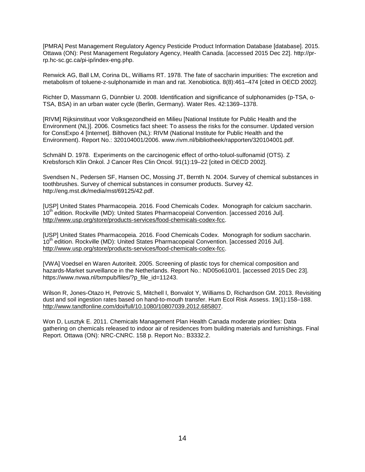[PMRA] Pest Management Regulatory Agency Pesticide Product Information Database [database]. 2015. Ottawa (ON): Pest Management Regulatory Agency, Health Canada. [accessed 2015 Dec 22]. http://prrp.hc-sc.gc.ca/pi-ip/index-eng.php.

Renwick AG, Ball LM, Corina DL, Williams RT. 1978. The fate of saccharin impurities: The excretion and metabolism of toluene-z-sulphonamide in man and rat. Xenobiotica. 8(8):461–474 [cited in OECD 2002].

Richter D, Massmann G, Dünnbier U. 2008. Identification and significance of sulphonamides (p-TSA, o-TSA, BSA) in an urban water cycle (Berlin, Germany). Water Res. 42:1369–1378.

[RIVM] Rijksinstituut voor Volksgezondheid en Milieu [National Institute for Public Health and the Environment (NL)]. 2006. Cosmetics fact sheet: To assess the risks for the consumer. Updated version for ConsExpo 4 [Internet]. Bilthoven (NL): RIVM (National Institute for Public Health and the Environment). Report No.: 320104001/2006. www.rivm.nl/bibliotheek/rapporten/320104001.pdf.

Schmähl D. 1978. Experiments on the carcinogenic effect of ortho-toluol-sulfonamid (OTS). Z Krebsforsch Klin Onkol. J Cancer Res Clin Oncol. 91(1):19–22 [cited in OECD 2002].

Svendsen N., Pedersen SF, Hansen OC, Mossing JT, Bernth N. 2004. Survey of chemical substances in toothbrushes. Survey of chemical substances in consumer products. Survey 42. http://eng.mst.dk/media/mst/69125/42.pdf.

[USP] United States Pharmacopeia. 2016. Food Chemicals Codex. Monograph for calcium saccharin. 10<sup>th</sup> edition. Rockville (MD): United States Pharmacopeial Convention. [accessed 2016 Jul]. [http://www.usp.org/store/products-services/food-chemicals-codex-fcc.](http://www.usp.org/store/products-services/food-chemicals-codex-fcc)

[USP] United States Pharmacopeia. 2016. Food Chemicals Codex. Monograph for sodium saccharin. 10<sup>th</sup> edition. Rockville (MD): United States Pharmacopeial Convention. [accessed 2016 Jul]. [http://www.usp.org/store/products-services/food-chemicals-codex-fcc.](http://www.usp.org/store/products-services/food-chemicals-codex-fcc)

[VWA] Voedsel en Waren Autoriteit. 2005. Screening of plastic toys for chemical composition and hazards-Market surveillance in the Netherlands. Report No.: ND05o610/01. [accessed 2015 Dec 23]. https://www.nvwa.nl/txmpub/files/?p\_file\_id=11243.

Wilson R, Jones-Otazo H, Petrovic S, Mitchell I, Bonvalot Y, Williams D, Richardson GM. 2013. Revisiting dust and soil ingestion rates based on hand-to-mouth transfer. Hum Ecol Risk Assess. 19(1):158–188. [http://www.tandfonline.com/doi/full/10.1080/10807039.2012.685807.](http://www.tandfonline.com/doi/full/10.1080/10807039.2012.685807)

Won D, Lusztyk E. 2011. Chemicals Management Plan Health Canada moderate priorities: Data gathering on chemicals released to indoor air of residences from building materials and furnishings. Final Report. Ottawa (ON): NRC-CNRC. 158 p. Report No.: B3332.2.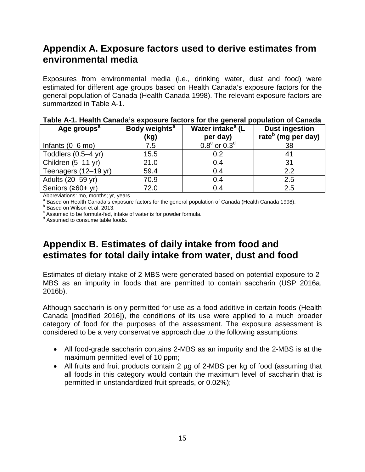## <span id="page-19-0"></span>**Appendix A. Exposure factors used to derive estimates from environmental media**

Exposures from environmental media (i.e., drinking water, dust and food) were estimated for different age groups based on Health Canada's exposure factors for the general population of Canada (Health Canada 1998). The relevant exposure factors are summarized in Table A-1.

| Age groups <sup>a</sup>    | Body weights <sup>a</sup><br>(kg) | Water intake <sup>a</sup> (L<br>per day) | <b>Dust ingestion</b><br>rate <sup>b</sup> (mg per day) |
|----------------------------|-----------------------------------|------------------------------------------|---------------------------------------------------------|
| Infants $(0-6 \text{ mo})$ | 7.5                               | $0.8^{\circ}$ or $0.3^{\circ}$           | 38                                                      |
| Toddlers $(0.5-4$ yr)      | 15.5                              | 0.2                                      |                                                         |
| Children (5-11 yr)         | 21.0                              | 0.4                                      | 31                                                      |
| Teenagers (12-19 yr)       | 59.4                              | 0.4                                      | 2.2                                                     |
| Adults (20-59 yr)          | 70.9                              | 0.4                                      | 2.5                                                     |
| Seniors (≥60+ yr)          | 72.0                              | 0.4                                      | 2.5                                                     |

**Table A-1. Health Canada's exposure factors for the general population of Canada**

Abbreviations: mo, months; yr, years.

a Based on Health Canada's exposure factors for the general population of Canada (Health Canada 1998).<br>
b Based on Wilson et al. 2013.<br>
c Assumed to be formula-fed, intake of water is for powder formula.<br>
d Assumed to cons

## <span id="page-19-1"></span>**Appendix B. Estimates of daily intake from food and estimates for total daily intake from water, dust and food**

Estimates of dietary intake of 2-MBS were generated based on potential exposure to 2- MBS as an impurity in foods that are permitted to contain saccharin (USP 2016a, 2016b).

Although saccharin is only permitted for use as a food additive in certain foods (Health Canada [modified 2016]), the conditions of its use were applied to a much broader category of food for the purposes of the assessment. The exposure assessment is considered to be a very conservative approach due to the following assumptions:

- All food-grade saccharin contains 2-MBS as an impurity and the 2-MBS is at the maximum permitted level of 10 ppm;
- All fruits and fruit products contain 2 µg of 2-MBS per kg of food (assuming that all foods in this category would contain the maximum level of saccharin that is permitted in unstandardized fruit spreads, or 0.02%);